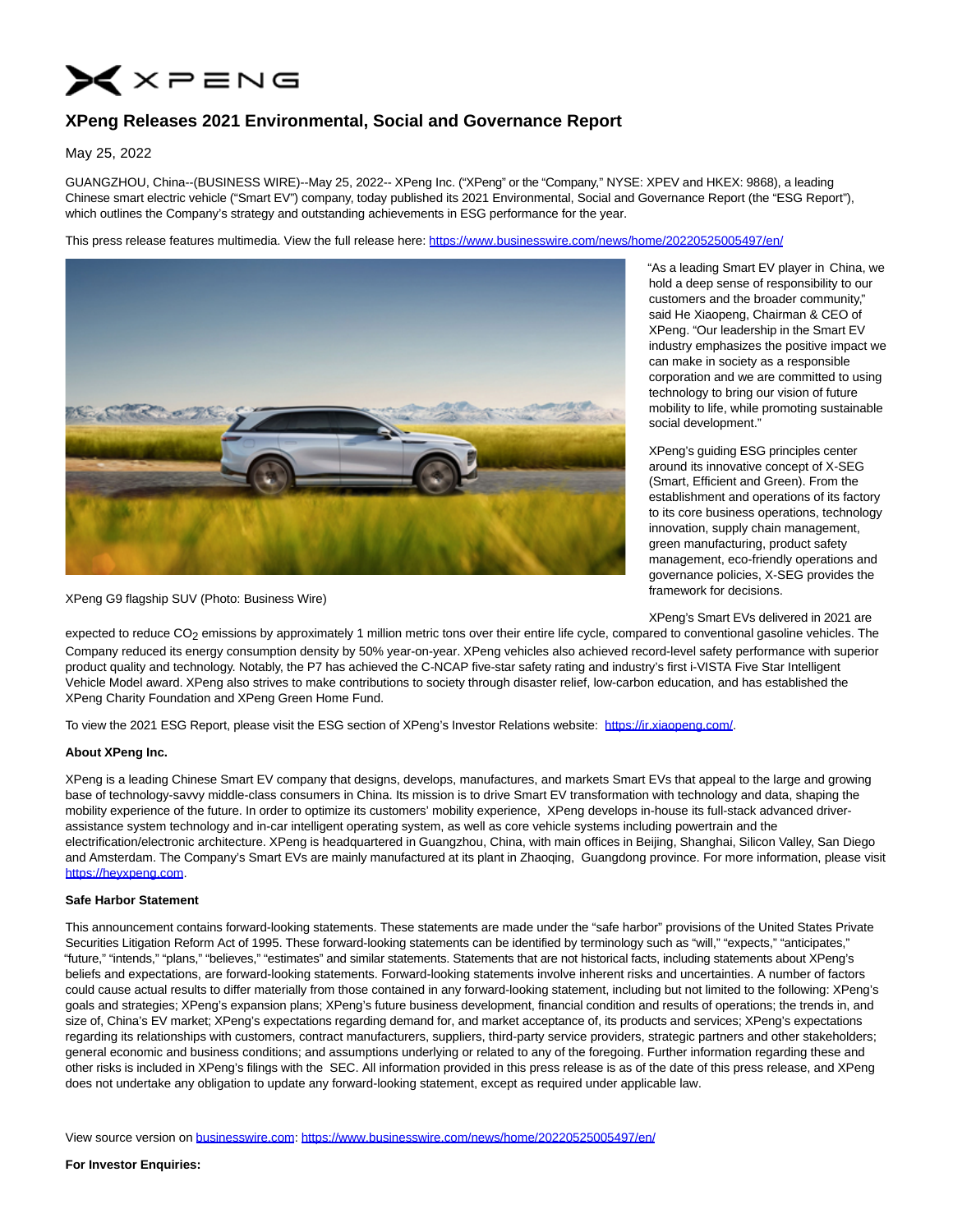

## **XPeng Releases 2021 Environmental, Social and Governance Report**

May 25, 2022

GUANGZHOU, China--(BUSINESS WIRE)--May 25, 2022-- XPeng Inc. ("XPeng" or the "Company," NYSE: XPEV and HKEX: 9868), a leading Chinese smart electric vehicle ("Smart EV") company, today published its 2021 Environmental, Social and Governance Report (the "ESG Report"), which outlines the Company's strategy and outstanding achievements in ESG performance for the year.

This press release features multimedia. View the full release here:<https://www.businesswire.com/news/home/20220525005497/en/>



XPeng G9 flagship SUV (Photo: Business Wire)

"As a leading Smart EV player in China, we hold a deep sense of responsibility to our customers and the broader community," said He Xiaopeng, Chairman & CEO of XPeng. "Our leadership in the Smart EV industry emphasizes the positive impact we can make in society as a responsible corporation and we are committed to using technology to bring our vision of future mobility to life, while promoting sustainable social development."

XPeng's guiding ESG principles center around its innovative concept of X-SEG (Smart, Efficient and Green). From the establishment and operations of its factory to its core business operations, technology innovation, supply chain management, green manufacturing, product safety management, eco-friendly operations and governance policies, X-SEG provides the framework for decisions.

XPeng's Smart EVs delivered in 2021 are

expected to reduce CO<sub>2</sub> emissions by approximately 1 million metric tons over their entire life cycle, compared to conventional gasoline vehicles. The Company reduced its energy consumption density by 50% year-on-year. XPeng vehicles also achieved record-level safety performance with superior product quality and technology. Notably, the P7 has achieved the C-NCAP five-star safety rating and industry's first i-VISTA Five Star Intelligent Vehicle Model award. XPeng also strives to make contributions to society through disaster relief, low-carbon education, and has established the XPeng Charity Foundation and XPeng Green Home Fund.

To view the 2021 ESG Report, please visit the ESG section of XPeng's Investor Relations website: [https://ir.xiaopeng.com/.](https://cts.businesswire.com/ct/CT?id=smartlink&url=https%3A%2F%2Fir.xiaopeng.com%2F&esheet=52730509&newsitemid=20220525005497&lan=en-US&anchor=https%3A%2F%2Fir.xiaopeng.com%2F&index=1&md5=f54fff0353052b5f54a4e53ce10c1f64)

## **About XPeng Inc.**

XPeng is a leading Chinese Smart EV company that designs, develops, manufactures, and markets Smart EVs that appeal to the large and growing base of technology-savvy middle-class consumers in China. Its mission is to drive Smart EV transformation with technology and data, shaping the mobility experience of the future. In order to optimize its customers' mobility experience, XPeng develops in-house its full-stack advanced driverassistance system technology and in-car intelligent operating system, as well as core vehicle systems including powertrain and the electrification/electronic architecture. XPeng is headquartered in Guangzhou, China, with main offices in Beijing, Shanghai, Silicon Valley, San Diego and Amsterdam. The Company's Smart EVs are mainly manufactured at its plant in Zhaoqing, Guangdong province. For more information, please visit [https://heyxpeng.com.](https://cts.businesswire.com/ct/CT?id=smartlink&url=https%3A%2F%2Fheyxpeng.com&esheet=52730509&newsitemid=20220525005497&lan=en-US&anchor=https%3A%2F%2Fheyxpeng.com&index=2&md5=328a68f7c46df1c151c16a6f13122d09)

## **Safe Harbor Statement**

This announcement contains forward-looking statements. These statements are made under the "safe harbor" provisions of the United States Private Securities Litigation Reform Act of 1995. These forward-looking statements can be identified by terminology such as "will," "expects," "anticipates," "future," "intends," "plans," "believes," "estimates" and similar statements. Statements that are not historical facts, including statements about XPeng's beliefs and expectations, are forward-looking statements. Forward-looking statements involve inherent risks and uncertainties. A number of factors could cause actual results to differ materially from those contained in any forward-looking statement, including but not limited to the following: XPeng's goals and strategies; XPeng's expansion plans; XPeng's future business development, financial condition and results of operations; the trends in, and size of, China's EV market; XPeng's expectations regarding demand for, and market acceptance of, its products and services; XPeng's expectations regarding its relationships with customers, contract manufacturers, suppliers, third-party service providers, strategic partners and other stakeholders; general economic and business conditions; and assumptions underlying or related to any of the foregoing. Further information regarding these and other risks is included in XPeng's filings with the SEC. All information provided in this press release is as of the date of this press release, and XPeng does not undertake any obligation to update any forward-looking statement, except as required under applicable law.

View source version on [businesswire.com:](http://businesswire.com/)<https://www.businesswire.com/news/home/20220525005497/en/>